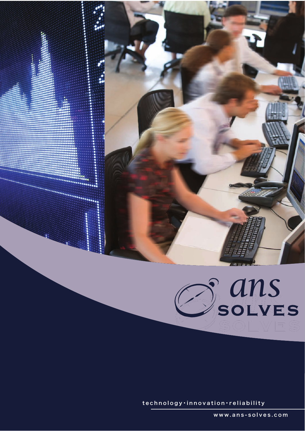

 $\texttt{technology} \cdot \texttt{innovation} \cdot \texttt{reliability}$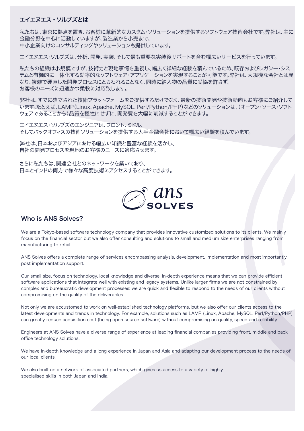# エイエヌエス・ソルブズとは

私たちは、東京に拠点を置き、お客様に革新的なカスタム・ソリューションを提供するソフトウェア技術会社です。弊社は、主に 金融分野を中心に活動していますが、製造業から小売まで、 中小企業向けのコンサルティングやソリューションも提供しています。

エイエヌエス・ソルブズは、分析、開発、実装、そして最も重要な実装後サポートを含む幅広いサービスを行っています。

私たちの組織は小規模ですが、技術力と現地事情を重視し、幅広く詳細な経験を積んでいるため、既存およびレガシー・シス テムと有機的に一体化する効率的なソフトウェア・アプリケーションを実現することが可能です。弊社は、大規模な会社とは異 なり、複雑で硬直した開発プロセスにとらわれることなく、同時に納入物の品質に妥協を許さず、 お客様のニーズに迅速かつ柔軟に対応致します。

弊社は、すでに確立された技術プラットフォームをご提供するだけでなく、最新の技術開発や技術動向もお客様にご紹介して います。たとえば、LAMP(Linux、Apache、MySQL、Perl/Python/PHP)などのソリューションは(、オープン・ソース・ソフト ウェアであることから)品質を犠牲にせずに、開発費を大幅に削減することができます。

エイエヌエス・ソルブズのエンジニアは、フロント、ミドル、 そしてバックオフィスの技術ソリューションを提供する大手金融会社において幅広い経験を積んでいます。

弊社は、日本およびアジアにおける幅広い知識と豊富な経験を活かし、 自社の開発プロセスを現地のお客様のニーズに適応させます。

さらに私たちは、関連会社とのネットワークを築いており、 日本とインドの両方で様々な高度技術にアクセスすることができます。



# Who is ANS Solves?

We are a Tokyo-based software technology company that provides innovative customized solutions to its clients. We mainly focus on the financial sector but we also offer consulting and solutions to small and medium size enterprises ranging from manufacturing to retail.

ANS Solves offers a complete range of services encompassing analysis, development, implementation and most importantly, post implementation support.

Our small size, focus on technology, local knowledge and diverse, in-depth experience means that we can provide efficient software applications that integrate well with existing and legacy systems. Unlike larger firms we are not constrained by complex and bureaucratic development processes: we are quick and flexible to respond to the needs of our clients without compromising on the quality of the deliverables.

Not only we are accustomed to work on well-established technology platforms, but we also offer our clients access to the latest developments and trends in technology. For example, solutions such as LAMP (Linux, Apache, MySQL, Perl/Python/PHP) can greatly reduce acquisition cost (being open source software) without compromising on quality, speed and reliability.

Engineers at ANS Solves have a diverse range of experience at leading financial companies providing front, middle and back office technology solutions.

We have in-depth knowledge and a long experience in Japan and Asia and adapting our development process to the needs of our local clients.

We also built up a network of associated partners, which gives us access to a variety of highly specialised skills in both Japan and India.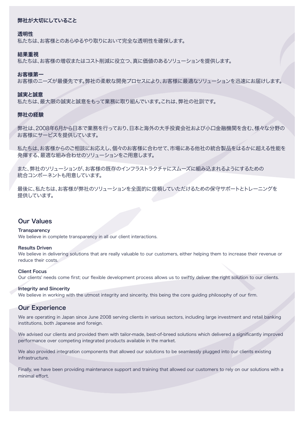# 弊社が大切にしていること

# 透明性

私たちは、お客様とのあらゆるやり取りにおいて完全な透明性を確保します。

# 結果重視

私たちは、お客様の増収またはコスト削減に役立つ、真に価値のあるソリューションを提供します。

# お客様第一

お客様のニーズが最優先です。弊社の柔軟な開発プロセスにより、お客様に最適なソリューションを迅速にお届けします。

# 誠実と誠意

私たちは、最大限の誠実と誠意をもって業務に取り組んでいます。これは、弊社の社訓です。

# 弊社の経験

弊社は、2008年6月から日本で業務を行っており、日本と海外の大手投資会社および小口金融機関を含む、様々な分野の お客様にサービスを提供しています。

私たちは、お客様からのご相談にお応えし、個々のお客様に合わせて、市場にある他社の統合製品をはるかに超える性能を 発揮する、最適な組み合わせのソリューションをご用意します。

また、弊社のソリューションが、お客様の既存のインフラストラクチャにスムーズに組み込まれるようにするための 統合コンポーネントも用意しています。

最後に、私たちは、お客様が弊社のソリューションを全面的に信頼していただけるための保守サポートとトレーニングを 提供しています。

# Our Values

#### **Transparency**

We believe in complete transparency in all our client interactions.

#### Results Driven

We believe in delivering solutions that are really valuable to our customers, either helping them to increase their revenue or reduce their costs.

# Client Focus

Our clients' needs come first; our flexible development process allows us to swiftly deliver the right solution to our clients.

# Integrity and Sincerity

We believe in working with the utmost integrity and sincerity, this being the core guiding philosophy of our firm.

# Our Experience

We are operating in Japan since June 2008 serving clients in various sectors, including large investment and retail banking institutions, both Japanese and foreign.

We advised our clients and provided them with tailor-made, best-of-breed solutions which delivered a significantly improved performance over competing integrated products available in the market.

We also provided integration components that allowed our solutions to be seamlessly plugged into our clients existing infrastructure.

Finally, we have been providing maintenance support and training that allowed our customers to rely on our solutions with a minimal effort.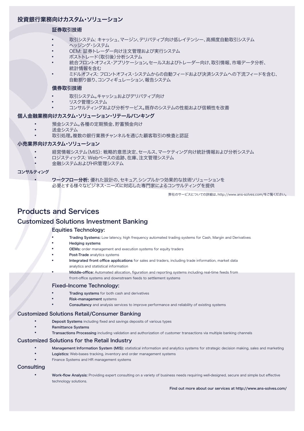# 投資銀行業務向けカスタム・ソリューション

# 証券取引技術

- 取引システム: キャッシュ、マージン、デリバティブ向け低レイテンシー、高頻度自動取引システム<br>• ヘッジング・システム
- 
- 
- 
- OEM: 証券トレーダー向け注文管理および実行システム<br>ポストトレード(取引後)分析システム<br>統合フロントオフィス・アプリケーション。セールスおよびトレーダー向け、取引情報、市場データ分析、 統計情報を含む
- ミドルオフィス: フロントオフィス・システムからの自動フィードおよび決済システムへの下流フィードを含む、 自動割り振り、コンフィギュレーション、報告システム

# 債券取引技術

- 取引システム。キャッシュおよびデリバティブ向け<br>リスク管理システム
- - コンサルティングおよび分析サービス。既存のシステムの性能および信頼性を改善

# 個人金融業務向けカスタム・ソリューション・リテールバンキング

- 
- 
- 預金システム。各種の定期預金、貯蓄預金向け<br>送金システム<br>取引処理。複数の銀行業務チャンネルを通じた顧客取引の検査と認証

# 小売業界向けカスタム・ソリューション

- 経営情報システム(MIS): 戦略的意思決定、セールス、マーケティング向け統計情報および分析システム<br>ロジスティックス: Webベースの追跡、在庫、注文管理システム<br>金融システムおよびHR管理システム
- 
- 

#### コンサルティング

ワークフロー分析: 優れた設計の、セキュア、シンプルかつ効果的な技術ソリューションを 必要とする様々なビジネス・ニーズに対応した専門家によるコンサルティングを提供

弊社のサービスについての詳細は、http://www.ans-solves.com/をご覧ください。

# Products and Services

# Customized Solutions Investment Banking

### Equities Technology:

- Trading Systems: Low latency, high frequency automated trading systems for Cash, Margin and Derivatives
- **Hedging systems**
- OEMs: order management and execution systems for equity traders
- Post-Trade analytics systems
- Integrated front office applications for sales and traders, including trade information, market data analytics and statistical information
- Middle-office: Automated allocation, figuration and reporting systems including real-time feeds from front-office systems and downstream feeds to settlement systems

#### Fixed-Income Technology:

- **Trading systems** for both cash and derivatives
- **Risk-management systems** 
	- Consultancy and analysis services to improve performance and reliability of existing systems

#### J Customized Solutions Retail/Consumer Banking

- Deposit Systems including fixed and savings deposits of various types
- **Remittance Systems**
- Transactions Processing including validation and authorization of customer transactions via multiple banking channels<br> **Customized Solutions for the Retail Industry**

- Management Information System (MIS): statistical information and analytics systems for strategic decision making, sales and marketing
- Logistics: Web-bases tracking, inventory and order management systems
- Finance Systems and HR management systems

# **Consulting**

Work-flow Analysis: Providing expert consulting on a variety of business needs requiring well-designed, secure and simple but effective technology solutions.

Find out more about our services at http://www.ans-solves.com/